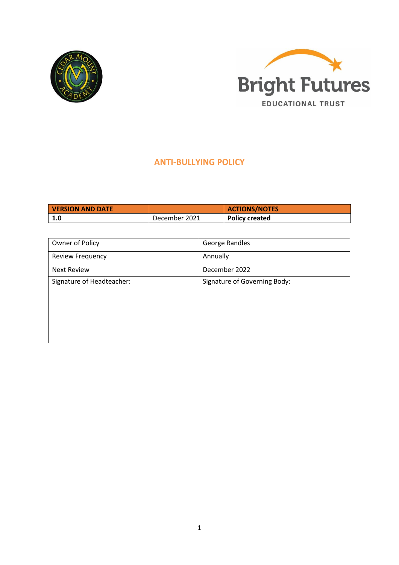



# **ANTI-BULLYING POLICY**

| <b>VERSION AND DATE</b> |               | <b>ACTIONS/NOTES</b> |
|-------------------------|---------------|----------------------|
| $\vert 1.0 \vert$       | December 2021 | Policy created       |

| Owner of Policy           | George Randles               |
|---------------------------|------------------------------|
| <b>Review Frequency</b>   | Annually                     |
| <b>Next Review</b>        | December 2022                |
| Signature of Headteacher: | Signature of Governing Body: |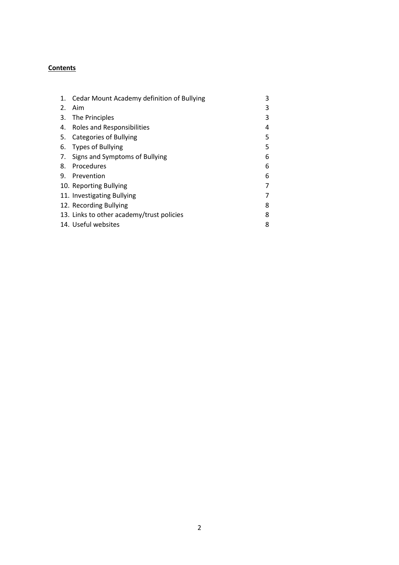# **Contents**

| 1. | Cedar Mount Academy definition of Bullying | 3 |
|----|--------------------------------------------|---|
| 2. | Aim                                        | 3 |
| 3. | The Principles                             | 3 |
| 4. | Roles and Responsibilities                 | 4 |
| 5. | <b>Categories of Bullying</b>              | 5 |
| 6. | <b>Types of Bullying</b>                   | 5 |
| 7. | Signs and Symptoms of Bullying             | 6 |
| 8. | Procedures                                 | 6 |
| 9. | Prevention                                 | 6 |
|    | 10. Reporting Bullying                     |   |
|    | 11. Investigating Bullying                 |   |
|    | 12. Recording Bullying                     | 8 |
|    | 13. Links to other academy/trust policies  | 8 |
|    | 14. Useful websites                        | 8 |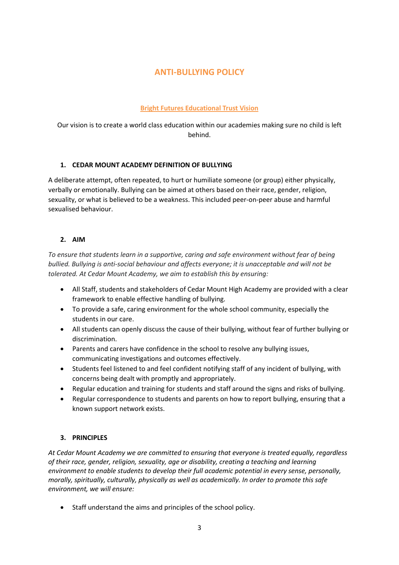# **ANTI-BULLYING POLICY**

## **Bright Futures Educational Trust Vision**

Our vision is to create a world class education within our academies making sure no child is left behind.

## **1. CEDAR MOUNT ACADEMY DEFINITION OF BULLYING**

A deliberate attempt, often repeated, to hurt or humiliate someone (or group) either physically, verbally or emotionally. Bullying can be aimed at others based on their race, gender, religion, sexuality, or what is believed to be a weakness. This included peer-on-peer abuse and harmful sexualised behaviour.

# **2. AIM**

*To ensure that students learn in a supportive, caring and safe environment without fear of being bullied. Bullying is anti-social behaviour and affects everyone; it is unacceptable and will not be tolerated. At Cedar Mount Academy, we aim to establish this by ensuring:*

- All Staff, students and stakeholders of Cedar Mount High Academy are provided with a clear framework to enable effective handling of bullying.
- To provide a safe, caring environment for the whole school community, especially the students in our care.
- All students can openly discuss the cause of their bullying, without fear of further bullying or discrimination.
- Parents and carers have confidence in the school to resolve any bullying issues, communicating investigations and outcomes effectively.
- Students feel listened to and feel confident notifying staff of any incident of bullying, with concerns being dealt with promptly and appropriately.
- Regular education and training for students and staff around the signs and risks of bullying.
- Regular correspondence to students and parents on how to report bullying, ensuring that a known support network exists.

# **3. PRINCIPLES**

*At Cedar Mount Academy we are committed to ensuring that everyone is treated equally, regardless of their race, gender, religion, sexuality, age or disability, creating a teaching and learning environment to enable students to develop their full academic potential in every sense, personally, morally, spiritually, culturally, physically as well as academically. In order to promote this safe environment, we will ensure:*

• Staff understand the aims and principles of the school policy.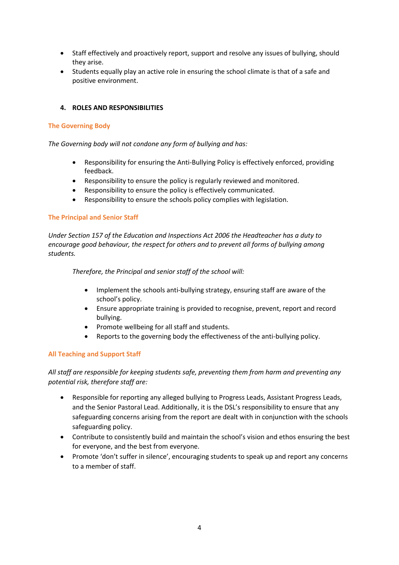- Staff effectively and proactively report, support and resolve any issues of bullying, should they arise.
- Students equally play an active role in ensuring the school climate is that of a safe and positive environment.

## **4. ROLES AND RESPONSIBILITIES**

### **The Governing Body**

*The Governing body will not condone any form of bullying and has:*

- Responsibility for ensuring the Anti-Bullying Policy is effectively enforced, providing feedback.
- Responsibility to ensure the policy is regularly reviewed and monitored.
- Responsibility to ensure the policy is effectively communicated.
- Responsibility to ensure the schools policy complies with legislation.

## **The Principal and Senior Staff**

*Under Section 157 of the Education and Inspections Act 2006 the Headteacher has a duty to encourage good behaviour, the respect for others and to prevent all forms of bullying among students.*

*Therefore, the Principal and senior staff of the school will:*

- Implement the schools anti-bullying strategy, ensuring staff are aware of the school's policy.
- Ensure appropriate training is provided to recognise, prevent, report and record bullying.
- Promote wellbeing for all staff and students.
- Reports to the governing body the effectiveness of the anti-bullying policy.

## **All Teaching and Support Staff**

*All staff are responsible for keeping students safe, preventing them from harm and preventing any potential risk, therefore staff are:*

- Responsible for reporting any alleged bullying to Progress Leads, Assistant Progress Leads, and the Senior Pastoral Lead. Additionally, it is the DSL's responsibility to ensure that any safeguarding concerns arising from the report are dealt with in conjunction with the schools safeguarding policy.
- Contribute to consistently build and maintain the school's vision and ethos ensuring the best for everyone, and the best from everyone.
- Promote 'don't suffer in silence', encouraging students to speak up and report any concerns to a member of staff.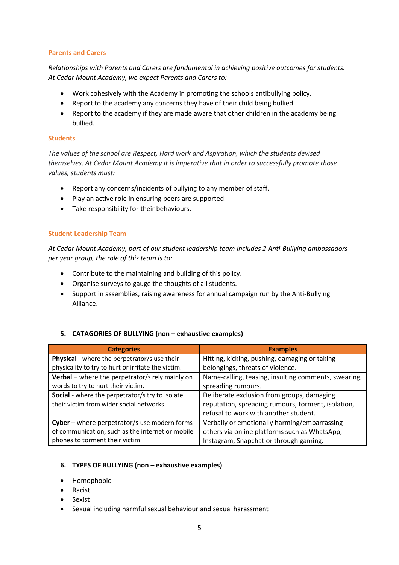## **Parents and Carers**

*Relationships with Parents and Carers are fundamental in achieving positive outcomes for students. At Cedar Mount Academy, we expect Parents and Carers to:*

- Work cohesively with the Academy in promoting the schools antibullying policy.
- Report to the academy any concerns they have of their child being bullied.
- Report to the academy if they are made aware that other children in the academy being bullied.

## **Students**

*The values of the school are Respect, Hard work and Aspiration, which the students devised themselves, At Cedar Mount Academy it is imperative that in order to successfully promote those values, students must:*

- Report any concerns/incidents of bullying to any member of staff.
- Play an active role in ensuring peers are supported.
- Take responsibility for their behaviours.

## **Student Leadership Team**

*At Cedar Mount Academy, part of our student leadership team includes 2 Anti-Bullying ambassadors per year group, the role of this team is to:*

- Contribute to the maintaining and building of this policy.
- Organise surveys to gauge the thoughts of all students.
- Support in assemblies, raising awareness for annual campaign run by the Anti-Bullying Alliance.

## **5. CATAGORIES OF BULLYING (non – exhaustive examples)**

| <b>Categories</b>                                  | <b>Examples</b>                                      |  |
|----------------------------------------------------|------------------------------------------------------|--|
| Physical - where the perpetrator/s use their       | Hitting, kicking, pushing, damaging or taking        |  |
| physicality to try to hurt or irritate the victim. | belongings, threats of violence.                     |  |
| Verbal - where the perpetrator/s rely mainly on    | Name-calling, teasing, insulting comments, swearing, |  |
| words to try to hurt their victim.                 | spreading rumours.                                   |  |
| Social - where the perpetrator/s try to isolate    | Deliberate exclusion from groups, damaging           |  |
| their victim from wider social networks            | reputation, spreading rumours, torment, isolation,   |  |
|                                                    | refusal to work with another student.                |  |
| Cyber - where perpetrator/s use modern forms       | Verbally or emotionally harming/embarrassing         |  |
| of communication, such as the internet or mobile   | others via online platforms such as WhatsApp,        |  |
| phones to torment their victim                     | Instagram, Snapchat or through gaming.               |  |

### **6. TYPES OF BULLYING (non – exhaustive examples)**

- Homophobic
- Racist
- Sexist
- Sexual including harmful sexual behaviour and sexual harassment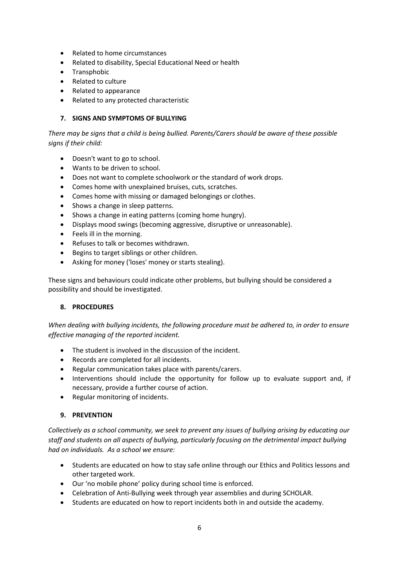- Related to home circumstances
- Related to disability, Special Educational Need or health
- Transphobic
- Related to culture
- Related to appearance
- Related to any protected characteristic

### **7. SIGNS AND SYMPTOMS OF BULLYING**

*There may be signs that a child is being bullied. Parents/Carers should be aware of these possible signs if their child:*

- Doesn't want to go to school.
- Wants to be driven to school.
- Does not want to complete schoolwork or the standard of work drops.
- Comes home with unexplained bruises, cuts, scratches.
- Comes home with missing or damaged belongings or clothes.
- Shows a change in sleep patterns.
- Shows a change in eating patterns (coming home hungry).
- Displays mood swings (becoming aggressive, disruptive or unreasonable).
- Feels ill in the morning.
- Refuses to talk or becomes withdrawn.
- Begins to target siblings or other children.
- Asking for money ('loses' money or starts stealing).

These signs and behaviours could indicate other problems, but bullying should be considered a possibility and should be investigated.

### **8. PROCEDURES**

*When dealing with bullying incidents, the following procedure must be adhered to, in order to ensure effective managing of the reported incident.*

- The student is involved in the discussion of the incident.
- Records are completed for all incidents.
- Regular communication takes place with parents/carers.
- Interventions should include the opportunity for follow up to evaluate support and, if necessary, provide a further course of action.
- Regular monitoring of incidents.

### **9. PREVENTION**

*Collectively as a school community, we seek to prevent any issues of bullying arising by educating our staff and students on all aspects of bullying, particularly focusing on the detrimental impact bullying had on individuals. As a school we ensure:*

- Students are educated on how to stay safe online through our Ethics and Politics lessons and other targeted work.
- Our 'no mobile phone' policy during school time is enforced.
- Celebration of Anti-Bullying week through year assemblies and during SCHOLAR.
- Students are educated on how to report incidents both in and outside the academy.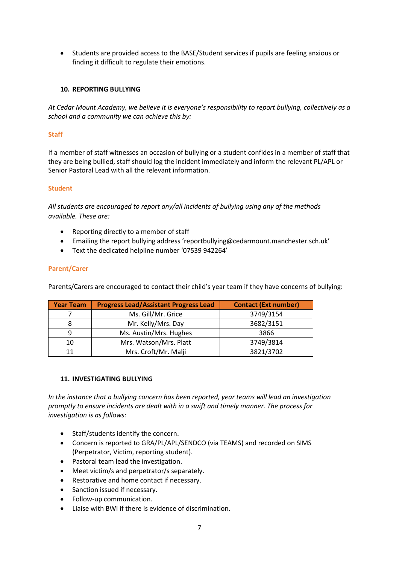• Students are provided access to the BASE/Student services if pupils are feeling anxious or finding it difficult to regulate their emotions.

## **10. REPORTING BULLYING**

*At Cedar Mount Academy, we believe it is everyone's responsibility to report bullying, collectively as a school and a community we can achieve this by:*

## **Staff**

If a member of staff witnesses an occasion of bullying or a student confides in a member of staff that they are being bullied, staff should log the incident immediately and inform the relevant PL/APL or Senior Pastoral Lead with all the relevant information.

### **Student**

*All students are encouraged to report any/all incidents of bullying using any of the methods available. These are:*

- Reporting directly to a member of staff
- Emailing the report bullying address 'reportbullying@cedarmount.manchester.sch.uk'
- Text the dedicated helpline number '07539 942264'

### **Parent/Carer**

Parents/Carers are encouraged to contact their child's year team if they have concerns of bullying:

| <b>Year Team</b> | <b>Progress Lead/Assistant Progress Lead</b> | <b>Contact (Ext number)</b> |
|------------------|----------------------------------------------|-----------------------------|
|                  | Ms. Gill/Mr. Grice                           | 3749/3154                   |
| 8                | Mr. Kelly/Mrs. Day                           | 3682/3151                   |
| q                | Ms. Austin/Mrs. Hughes                       | 3866                        |
| 10               | Mrs. Watson/Mrs. Platt                       | 3749/3814                   |
| 11               | Mrs. Croft/Mr. Malji                         | 3821/3702                   |

## **11. INVESTIGATING BULLYING**

*In the instance that a bullying concern has been reported, year teams will lead an investigation promptly to ensure incidents are dealt with in a swift and timely manner. The process for investigation is as follows:*

- Staff/students identify the concern.
- Concern is reported to GRA/PL/APL/SENDCO (via TEAMS) and recorded on SIMS (Perpetrator, Victim, reporting student).
- Pastoral team lead the investigation.
- Meet victim/s and perpetrator/s separately.
- Restorative and home contact if necessary.
- Sanction issued if necessary.
- Follow-up communication.
- Liaise with BWI if there is evidence of discrimination.